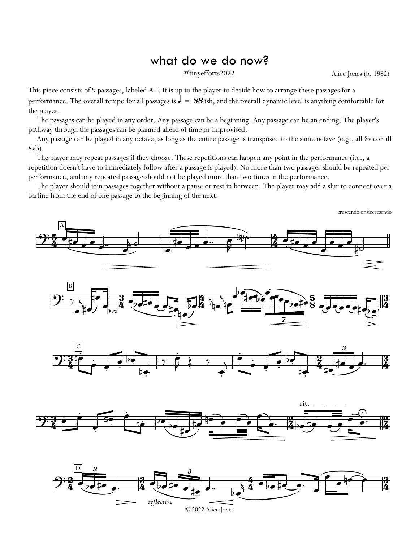## what do we do now?

#tinyefforts2022 Alice Jones (b. 1982)

crescendo or decresendo

This piece consists of 9 passages, labeled A-I. It is up to the player to decide how to arrange these passages for a performance. The overall tempo for all passages is  $\frac{1}{s} = 88$  ish, and the overall dynamic level is anything comfortable for the player.

The passages can be played in any order. Any passage can be a beginning. Any passage can be an ending. The player's pathway through the passages can be planned ahead of time or improvised.

Any passage can be played in any octave, as long as the entire passage is transposed to the same octave (e.g., all 8va or all 8vb).

The player may repeat passages if they choose. These repetitions can happen any point in the performance (i.e., a repetition doesn't have to immediately follow after a passage is played). No more than two passages should be repeated per performance, and any repeated passage should not be played more than two times in the performance.

The player should join passages together without a pause or rest in between. The player may add a slur to connect over a barline from the end of one passage to the beginning of the next.